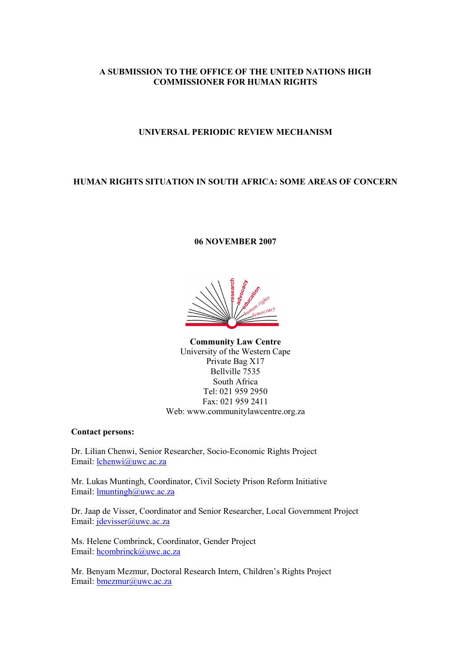# A SUBMISSION TO THE OFFICE OF THE UNITED NATIONS HIGH COMMISSIONER FOR HUMAN RIGHTS

# UNIVERSAL PERIODIC REVIEW MECHANISM

# HUMAN RIGHTS SITUATION IN SOUTH AFRICA: SOME AREAS OF CONCERN

## 06 NOVEMBER 2007

Community Law Centre University of the Western Cape Private Bag X17 Bellville 7535 South Africa Tel: 021 959 2950 Fax: 021 959 2411 Web: www.communitylawcentre.org.za

## Contact persons:

Dr. Lilian Chenwi, Senior Researcher, Socio-Economic Rights Project Email: lchenwi@uwc.ac.za

Mr. Lukas Muntingh, Coordinator, Civil Society Prison Reform Initiative Email: lmuntingh@uwc.ac.za

Dr. Jaap de Visser, Coordinator and Senior Researcher, Local Government Project Email: jdevisser@uwc.ac.za

Ms. Helene Combrinck, Coordinator, Gender Project Email: hcombrinck@uwc.ac.za

Mr. Benyam Mezmur, Doctoral Research Intern, Children's Rights Project Email: **bmezmur@uwc.ac.za**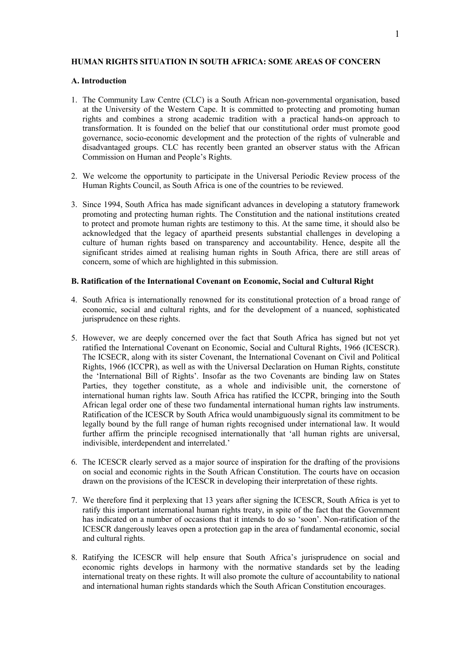## HUMAN RIGHTS SITUATION IN SOUTH AFRICA: SOME AREAS OF CONCERN

## A. Introduction

- 1. The Community Law Centre (CLC) is a South African non-governmental organisation, based at the University of the Western Cape. It is committed to protecting and promoting human rights and combines a strong academic tradition with a practical hands-on approach to transformation. It is founded on the belief that our constitutional order must promote good governance, socio-economic development and the protection of the rights of vulnerable and disadvantaged groups. CLC has recently been granted an observer status with the African Commission on Human and People's Rights.
- 2. We welcome the opportunity to participate in the Universal Periodic Review process of the Human Rights Council, as South Africa is one of the countries to be reviewed.
- 3. Since 1994, South Africa has made significant advances in developing a statutory framework promoting and protecting human rights. The Constitution and the national institutions created to protect and promote human rights are testimony to this. At the same time, it should also be acknowledged that the legacy of apartheid presents substantial challenges in developing a culture of human rights based on transparency and accountability. Hence, despite all the significant strides aimed at realising human rights in South Africa, there are still areas of concern, some of which are highlighted in this submission.

## B. Ratification of the International Covenant on Economic, Social and Cultural Right

- 4. South Africa is internationally renowned for its constitutional protection of a broad range of economic, social and cultural rights, and for the development of a nuanced, sophisticated jurisprudence on these rights.
- 5. However, we are deeply concerned over the fact that South Africa has signed but not yet ratified the International Covenant on Economic, Social and Cultural Rights, 1966 (ICESCR). The ICSECR, along with its sister Covenant, the International Covenant on Civil and Political Rights, 1966 (ICCPR), as well as with the Universal Declaration on Human Rights, constitute the 'International Bill of Rights'. Insofar as the two Covenants are binding law on States Parties, they together constitute, as a whole and indivisible unit, the cornerstone of international human rights law. South Africa has ratified the ICCPR, bringing into the South African legal order one of these two fundamental international human rights law instruments. Ratification of the ICESCR by South Africa would unambiguously signal its commitment to be legally bound by the full range of human rights recognised under international law. It would further affirm the principle recognised internationally that 'all human rights are universal, indivisible, interdependent and interrelated.'
- 6. The ICESCR clearly served as a major source of inspiration for the drafting of the provisions on social and economic rights in the South African Constitution. The courts have on occasion drawn on the provisions of the ICESCR in developing their interpretation of these rights.
- 7. We therefore find it perplexing that 13 years after signing the ICESCR, South Africa is yet to ratify this important international human rights treaty, in spite of the fact that the Government has indicated on a number of occasions that it intends to do so 'soon'. Non-ratification of the ICESCR dangerously leaves open a protection gap in the area of fundamental economic, social and cultural rights.
- 8. Ratifying the ICESCR will help ensure that South Africa's jurisprudence on social and economic rights develops in harmony with the normative standards set by the leading international treaty on these rights. It will also promote the culture of accountability to national and international human rights standards which the South African Constitution encourages.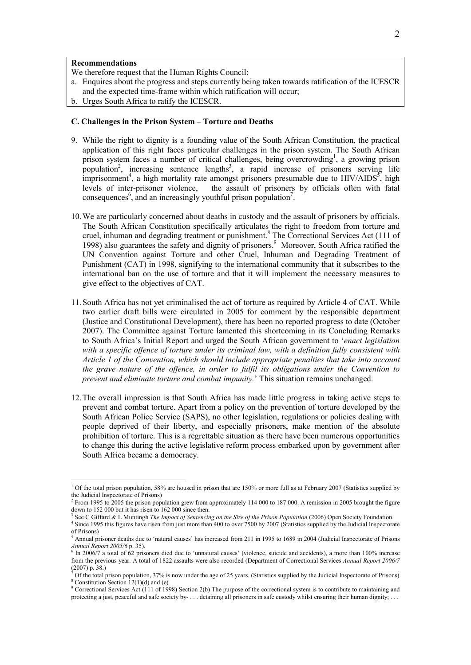### Recommendations

We therefore request that the Human Rights Council:

- a. Enquires about the progress and steps currently being taken towards ratification of the ICESCR and the expected time-frame within which ratification will occur;
- b. Urges South Africa to ratify the ICESCR.

#### C. Challenges in the Prison System – Torture and Deaths

- 9. While the right to dignity is a founding value of the South African Constitution, the practical application of this right faces particular challenges in the prison system. The South African  $\overrightarrow{p}$  rison system faces a number of critical challenges, being overcrowding<sup>1</sup>, a growing prison population<sup>2</sup>, increasing sentence lengths<sup>3</sup>, a rapid increase of prisoners serving life imprisonment<sup>4</sup>, a high mortality rate amongst prisoners presumable due to  $HIV/AIDS<sup>5</sup>$ , high levels of inter-prisoner violence, the assault of prisoners by officials often with fatal consequences<sup>6</sup>, and an increasingly youthful prison population<sup>7</sup>.
- 10.We are particularly concerned about deaths in custody and the assault of prisoners by officials. The South African Constitution specifically articulates the right to freedom from torture and cruel, inhuman and degrading treatment or punishment.<sup>8</sup> The Correctional Services Act (111 of 1998) also guarantees the safety and dignity of prisoners.<sup>9</sup> Moreover, South Africa ratified the UN Convention against Torture and other Cruel, Inhuman and Degrading Treatment of Punishment (CAT) in 1998, signifying to the international community that it subscribes to the international ban on the use of torture and that it will implement the necessary measures to give effect to the objectives of CAT.
- 11.South Africa has not yet criminalised the act of torture as required by Article 4 of CAT. While two earlier draft bills were circulated in 2005 for comment by the responsible department (Justice and Constitutional Development), there has been no reported progress to date (October 2007). The Committee against Torture lamented this shortcoming in its Concluding Remarks to South Africa's Initial Report and urged the South African government to 'enact legislation with a specific offence of torture under its criminal law, with a definition fully consistent with Article 1 of the Convention, which should include appropriate penalties that take into account the grave nature of the offence, in order to fulfil its obligations under the Convention to prevent and eliminate torture and combat impunity.' This situation remains unchanged.
- 12.The overall impression is that South Africa has made little progress in taking active steps to prevent and combat torture. Apart from a policy on the prevention of torture developed by the South African Police Service (SAPS), no other legislation, regulations or policies dealing with people deprived of their liberty, and especially prisoners, make mention of the absolute prohibition of torture. This is a regrettable situation as there have been numerous opportunities to change this during the active legislative reform process embarked upon by government after South Africa became a democracy.

-

<sup>&</sup>lt;sup>1</sup> Of the total prison population, 58% are housed in prison that are 150% or more full as at February 2007 (Statistics supplied by the Judicial Inspectorate of Prisons)

<sup>&</sup>lt;sup>2</sup> From 1995 to 2005 the prison population grew from approximately 114 000 to 187 000. A remission in 2005 brought the figure down to 152 000 but it has risen to 162 000 since then.

<sup>&</sup>lt;sup>3</sup> See C Giffard & L Muntingh *The Impact of Sentencing on the Size of the Prison Population* (2006) Open Society Foundation. <sup>4</sup> Since 1995 this figures have risen from just more than 400 to over 7500 by 2007 (Statistics supplied by the Judicial Inspectorate

of Prisons)

<sup>&</sup>lt;sup>5</sup> Annual prisoner deaths due to 'natural causes' has increased from 211 in 1995 to 1689 in 2004 (Judicial Inspectorate of Prisons

Annual Report 2005/6 p. 35).<br><sup>6</sup> In 2006/7 a total of 62 prisoners died due to 'unnatural causes' (violence, suicide and accidents), a more than 100% increase from the previous year. A total of 1822 assaults were also recorded (Department of Correctional Services Annual Report 2006/7  $(2007)$  p. 38.)

Of the total prison population, 37% is now under the age of 25 years. (Statistics supplied by the Judicial Inspectorate of Prisons) 8 Constitution Section 12(1)(d) and (e)

<sup>&</sup>lt;sup>9</sup> Correctional Services Act (111 of 1998) Section 2(b) The purpose of the correctional system is to contribute to maintaining and protecting a just, peaceful and safe society by- . . . detaining all prisoners in safe custody whilst ensuring their human dignity; . . .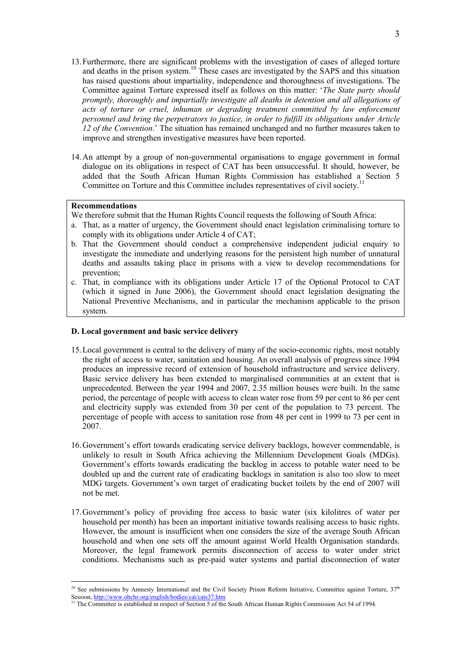- 13.Furthermore, there are significant problems with the investigation of cases of alleged torture and deaths in the prison system.<sup>10</sup> These cases are investigated by the SAPS and this situation has raised questions about impartiality, independence and thoroughness of investigations. The Committee against Torture expressed itself as follows on this matter: 'The State party should promptly, thoroughly and impartially investigate all deaths in detention and all allegations of acts of torture or cruel, inhuman or degrading treatment committed by law enforcement personnel and bring the perpetrators to justice, in order to fulfill its obligations under Article 12 of the Convention.' The situation has remained unchanged and no further measures taken to improve and strengthen investigative measures have been reported.
- 14.An attempt by a group of non-governmental organisations to engage government in formal dialogue on its obligations in respect of CAT has been unsuccessful. It should, however, be added that the South African Human Rights Commission has established a Section 5 Committee on Torture and this Committee includes representatives of civil society.<sup>11</sup>

#### Recommendations

-

We therefore submit that the Human Rights Council requests the following of South Africa:

- a. That, as a matter of urgency, the Government should enact legislation criminalising torture to comply with its obligations under Article 4 of CAT;
- b. That the Government should conduct a comprehensive independent judicial enquiry to investigate the immediate and underlying reasons for the persistent high number of unnatural deaths and assaults taking place in prisons with a view to develop recommendations for prevention;
- c. That, in compliance with its obligations under Article 17 of the Optional Protocol to CAT (which it signed in June 2006), the Government should enact legislation designating the National Preventive Mechanisms, and in particular the mechanism applicable to the prison system.

### D. Local government and basic service delivery

- 15.Local government is central to the delivery of many of the socio-economic rights, most notably the right of access to water, sanitation and housing. An overall analysis of progress since 1994 produces an impressive record of extension of household infrastructure and service delivery. Basic service delivery has been extended to marginalised communities at an extent that is unprecedented. Between the year 1994 and 2007, 2.35 million houses were built. In the same period, the percentage of people with access to clean water rose from 59 per cent to 86 per cent and electricity supply was extended from 30 per cent of the population to 73 percent. The percentage of people with access to sanitation rose from 48 per cent in 1999 to 73 per cent in 2007.
- 16.Government's effort towards eradicating service delivery backlogs, however commendable, is unlikely to result in South Africa achieving the Millennium Development Goals (MDGs). Government's efforts towards eradicating the backlog in access to potable water need to be doubled up and the current rate of eradicating backlogs in sanitation is also too slow to meet MDG targets. Government's own target of eradicating bucket toilets by the end of 2007 will not be met.
- 17.Government's policy of providing free access to basic water (six kilolitres of water per household per month) has been an important initiative towards realising access to basic rights. However, the amount is insufficient when one considers the size of the average South African household and when one sets off the amount against World Health Organisation standards. Moreover, the legal framework permits disconnection of access to water under strict conditions. Mechanisms such as pre-paid water systems and partial disconnection of water

<sup>&</sup>lt;sup>10</sup> See submissions by Amnesty International and the Civil Society Prison Reform Initiative, Committee against Torture,  $37<sup>th</sup>$ Session, http://www.ohchr.org/english/bodies/cat/cats37.htm

<sup>&</sup>lt;sup>11</sup> The Committee is established in respect of Section 5 of the South African Human Rights Commission Act 54 of 1994.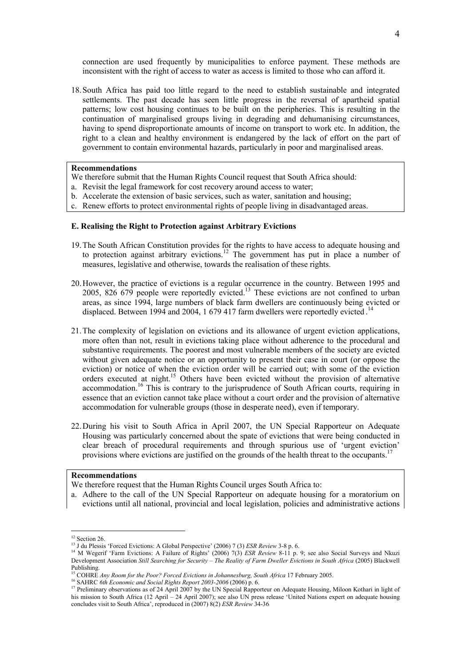connection are used frequently by municipalities to enforce payment. These methods are inconsistent with the right of access to water as access is limited to those who can afford it.

18.South Africa has paid too little regard to the need to establish sustainable and integrated settlements. The past decade has seen little progress in the reversal of apartheid spatial patterns; low cost housing continues to be built on the peripheries. This is resulting in the continuation of marginalised groups living in degrading and dehumanising circumstances, having to spend disproportionate amounts of income on transport to work etc. In addition, the right to a clean and healthy environment is endangered by the lack of effort on the part of government to contain environmental hazards, particularly in poor and marginalised areas.

### Recommendations

- We therefore submit that the Human Rights Council request that South Africa should:
- a. Revisit the legal framework for cost recovery around access to water;
- b. Accelerate the extension of basic services, such as water, sanitation and housing;
- c. Renew efforts to protect environmental rights of people living in disadvantaged areas.

### E. Realising the Right to Protection against Arbitrary Evictions

- 19.The South African Constitution provides for the rights to have access to adequate housing and to protection against arbitrary evictions.<sup>12</sup> The government has put in place a number of measures, legislative and otherwise, towards the realisation of these rights.
- 20.However, the practice of evictions is a regular occurrence in the country. Between 1995 and 2005, 826 679 people were reportedly evicted.<sup>13</sup> These evictions are not confined to urban areas, as since 1994, large numbers of black farm dwellers are continuously being evicted or displaced. Between 1994 and 2004, 1 679 417 farm dwellers were reportedly evicted.<sup>14</sup>
- 21.The complexity of legislation on evictions and its allowance of urgent eviction applications, more often than not, result in evictions taking place without adherence to the procedural and substantive requirements. The poorest and most vulnerable members of the society are evicted without given adequate notice or an opportunity to present their case in court (or oppose the eviction) or notice of when the eviction order will be carried out; with some of the eviction orders executed at night.<sup>15</sup> Others have been evicted without the provision of alternative accommodation.<sup>16</sup> This is contrary to the jurisprudence of South African courts, requiring in essence that an eviction cannot take place without a court order and the provision of alternative accommodation for vulnerable groups (those in desperate need), even if temporary.
- 22.During his visit to South Africa in April 2007, the UN Special Rapporteur on Adequate Housing was particularly concerned about the spate of evictions that were being conducted in clear breach of procedural requirements and through spurious use of 'urgent eviction' provisions where evictions are justified on the grounds of the health threat to the occupants.<sup>17</sup>

#### Recommendations

-

We therefore request that the Human Rights Council urges South Africa to:

a. Adhere to the call of the UN Special Rapporteur on adequate housing for a moratorium on evictions until all national, provincial and local legislation, policies and administrative actions

<sup>&</sup>lt;sup>12</sup> Section 26.

<sup>&</sup>lt;sup>13</sup> J du Plessis 'Forced Evictions: A Global Perspective' (2006) 7 (3) ESR Review 3-8 p. 6.

<sup>&</sup>lt;sup>14</sup> M Wegerif 'Farm Evictions: A Failure of Rights' (2006) 7(3) ESR Review 8-11 p. 9; see also Social Surveys and Nkuzi Development Association Still Searching for Security – The Reality of Farm Dweller Evictions in South Africa (2005) Blackwell Publishing.

 $\overline{1}$ <sup>i</sup> COHRE Any Room for the Poor? Forced Evictions in Johannesburg, South Africa 17 February 2005.

<sup>&</sup>lt;sup>16</sup> SAHRC 6th Economic and Social Rights Report 2003-2006 (2006) p. 6.

<sup>&</sup>lt;sup>17</sup> Preliminary observations as of 24 April 2007 by the UN Special Rapporteur on Adequate Housing, Miloon Kothari in light of his mission to South Africa (12 April – 24 April 2007); see also UN press release 'United Nations expert on adequate housing concludes visit to South Africa', reproduced in (2007) 8(2) ESR Review 34-36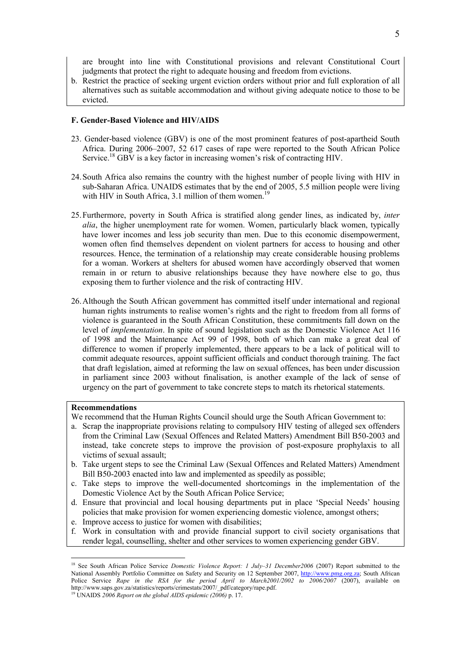are brought into line with Constitutional provisions and relevant Constitutional Court judgments that protect the right to adequate housing and freedom from evictions.

b. Restrict the practice of seeking urgent eviction orders without prior and full exploration of all alternatives such as suitable accommodation and without giving adequate notice to those to be evicted.

#### F. Gender-Based Violence and HIV/AIDS

- 23. Gender-based violence (GBV) is one of the most prominent features of post-apartheid South Africa. During 2006–2007, 52 617 cases of rape were reported to the South African Police Service.<sup>18</sup> GBV is a key factor in increasing women's risk of contracting HIV.
- 24.South Africa also remains the country with the highest number of people living with HIV in sub-Saharan Africa. UNAIDS estimates that by the end of 2005, 5.5 million people were living with HIV in South Africa, 3.1 million of them women.<sup>19</sup> L
- 25.Furthermore, poverty in South Africa is stratified along gender lines, as indicated by, inter alia, the higher unemployment rate for women. Women, particularly black women, typically have lower incomes and less job security than men. Due to this economic disempowerment, women often find themselves dependent on violent partners for access to housing and other resources. Hence, the termination of a relationship may create considerable housing problems for a woman. Workers at shelters for abused women have accordingly observed that women remain in or return to abusive relationships because they have nowhere else to go, thus exposing them to further violence and the risk of contracting HIV.
- 26.Although the South African government has committed itself under international and regional human rights instruments to realise women's rights and the right to freedom from all forms of violence is guaranteed in the South African Constitution, these commitments fall down on the level of implementation. In spite of sound legislation such as the Domestic Violence Act 116 of 1998 and the Maintenance Act 99 of 1998, both of which can make a great deal of difference to women if properly implemented, there appears to be a lack of political will to commit adequate resources, appoint sufficient officials and conduct thorough training. The fact that draft legislation, aimed at reforming the law on sexual offences, has been under discussion in parliament since 2003 without finalisation, is another example of the lack of sense of urgency on the part of government to take concrete steps to match its rhetorical statements.

#### Recommendations

-

We recommend that the Human Rights Council should urge the South African Government to:

- a. Scrap the inappropriate provisions relating to compulsory HIV testing of alleged sex offenders from the Criminal Law (Sexual Offences and Related Matters) Amendment Bill B50-2003 and instead, take concrete steps to improve the provision of post-exposure prophylaxis to all victims of sexual assault;
- b. Take urgent steps to see the Criminal Law (Sexual Offences and Related Matters) Amendment Bill B50-2003 enacted into law and implemented as speedily as possible;
- c. Take steps to improve the well-documented shortcomings in the implementation of the Domestic Violence Act by the South African Police Service;
- d. Ensure that provincial and local housing departments put in place 'Special Needs' housing policies that make provision for women experiencing domestic violence, amongst others;
- e. Improve access to justice for women with disabilities;
- f. Work in consultation with and provide financial support to civil society organisations that render legal, counselling, shelter and other services to women experiencing gender GBV.

<sup>&</sup>lt;sup>18</sup> See South African Police Service Domestic Violence Report: 1 July–31 December2006 (2007) Report submitted to the National Assembly Portfolio Committee on Safety and Security on 12 September 2007, http://www.pmg.org.za; South African Police Service Rape in the RSA for the period April to March2001/2002 to 2006/2007 (2007), available on http://www.saps.gov.za/statistics/reports/crimestats/2007/\_pdf/category/rape.pdf.

 $19$  UNAIDS 2006 Report on the global AIDS epidemic (2006) p. 17.